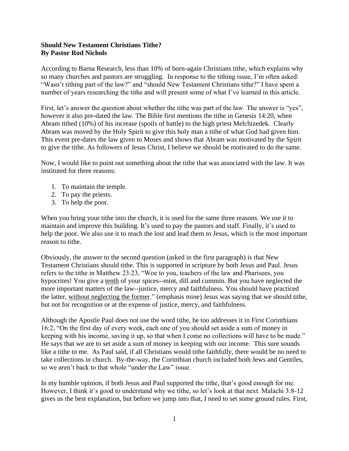## **Should New Testament Christians Tithe? By Pastor Rod Nichols**

According to Barna Research, less than 10% of born-again Christians tithe, which explains why so many churches and pastors are struggling. In response to the tithing issue, I'm often asked: "Wasn't tithing part of the law?" and "should New Testament Christians tithe?" I have spent a number of years researching the tithe and will present some of what I've learned in this article.

First, let's answer the question about whether the tithe was part of the law. The answer is "yes", however it also pre-dated the law. The Bible first mentions the tithe in Genesis 14:20, when Abram tithed (10%) of his increase (spoils of battle) to the high priest Melchizedek. Clearly Abram was moved by the Holy Spirit to give this holy man a tithe of what God had given him. This event pre-dates the law given to Moses and shows that Abram was motivated by the Spirit to give the tithe. As followers of Jesus Christ, I believe we should be motivated to do the same.

Now, I would like to point out something about the tithe that was associated with the law. It was instituted for three reasons:

- 1. To maintain the temple.
- 2. To pay the priests.
- 3. To help the poor.

When you bring your tithe into the church, it is used for the same three reasons. We use it to maintain and improve this building. It's used to pay the pastors and staff. Finally, it's used to help the poor. We also use it to reach the lost and lead them to Jesus, which is the most important reason to tithe.

Obviously, the answer to the second question (asked in the first paragraph) is that New Testament Christians should tithe. This is supported in scripture by both Jesus and Paul. Jesus refers to the tithe in Matthew 23:23, "Woe to you, teachers of the law and Pharisees, you hypocrites! You give a tenth of your spices--mint, dill and cummin. But you have neglected the more important matters of the law--justice, mercy and faithfulness. You should have practiced the latter, without neglecting the former." (emphasis mine) Jesus was saying that we should tithe, but not for recognition or at the expense of justice, mercy, and faithfulness.

Although the Apostle Paul does not use the word tithe, he too addresses it in First Corinthians 16:2, "On the first day of every week, each one of you should set aside a sum of money in keeping with his income, saving it up, so that when I come no collections will have to be made." He says that we are to set aside a sum of money in keeping with our income. This sure sounds like a tithe to me. As Paul said, if all Christians would tithe faithfully, there would be no need to take collections in church. By-the-way, the Corinthian church included both Jews and Gentiles, so we aren't back to that whole "under the Law" issue.

In my humble opinion, if both Jesus and Paul supported the tithe, that's good enough for me. However, I think it's good to understand why we tithe, so let's look at that next. Malachi 3:8-12 gives us the best explanation, but before we jump into that, I need to set some ground rules. First,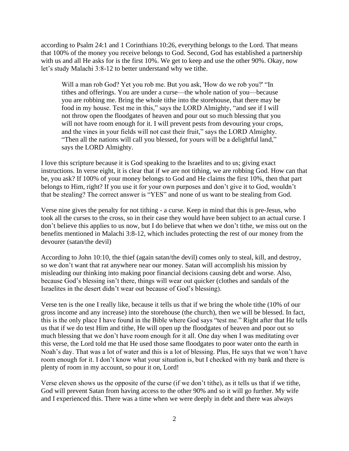according to Psalm 24:1 and 1 Corinthians 10:26, everything belongs to the Lord. That means that 100% of the money you receive belongs to God. Second, God has established a partnership with us and all He asks for is the first 10%. We get to keep and use the other 90%. Okay, now let's study Malachi 3:8-12 to better understand why we tithe.

Will a man rob God? Yet you rob me. But you ask, 'How do we rob you?' "In tithes and offerings. You are under a curse—the whole nation of you—because you are robbing me. Bring the whole tithe into the storehouse, that there may be food in my house. Test me in this," says the LORD Almighty, "and see if I will not throw open the floodgates of heaven and pour out so much blessing that you will not have room enough for it. I will prevent pests from devouring your crops, and the vines in your fields will not cast their fruit," says the LORD Almighty. "Then all the nations will call you blessed, for yours will be a delightful land," says the LORD Almighty.

I love this scripture because it is God speaking to the Israelites and to us; giving exact instructions. In verse eight, it is clear that if we are not tithing, we are robbing God. How can that be, you ask? If 100% of your money belongs to God and He claims the first 10%, then that part belongs to Him, right? If you use it for your own purposes and don't give it to God, wouldn't that be stealing? The correct answer is "YES" and none of us want to be stealing from God.

Verse nine gives the penalty for not tithing - a curse. Keep in mind that this is pre-Jesus, who took all the curses to the cross, so in their case they would have been subject to an actual curse. I don't believe this applies to us now, but I do believe that when we don't tithe, we miss out on the benefits mentioned in Malachi 3:8-12, which includes protecting the rest of our money from the devourer (satan/the devil)

According to John 10:10, the thief (again satan/the devil) comes only to steal, kill, and destroy, so we don't want that rat anywhere near our money. Satan will accomplish his mission by misleading our thinking into making poor financial decisions causing debt and worse. Also, because God's blessing isn't there, things will wear out quicker (clothes and sandals of the Israelites in the desert didn't wear out because of God's blessing).

Verse ten is the one I really like, because it tells us that if we bring the whole tithe (10% of our gross income and any increase) into the storehouse (the church), then we will be blessed. In fact, this is the only place I have found in the Bible where God says "test me." Right after that He tells us that if we do test Him and tithe, He will open up the floodgates of heaven and poor out so much blessing that we don't have room enough for it all. One day when I was meditating over this verse, the Lord told me that He used those same floodgates to poor water onto the earth in Noah's day. That was a lot of water and this is a lot of blessing. Plus, He says that we won't have room enough for it. I don't know what your situation is, but I checked with my bank and there is plenty of room in my account, so pour it on, Lord!

Verse eleven shows us the opposite of the curse (if we don't tithe), as it tells us that if we tithe, God will prevent Satan from having access to the other 90% and so it will go further. My wife and I experienced this. There was a time when we were deeply in debt and there was always